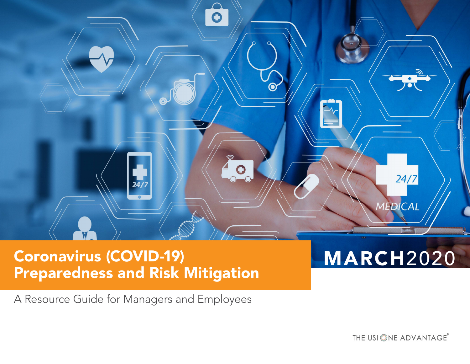

# Coronavirus (COVID-19) MARCH2020 Preparedness and Risk Mitigation

A Resource Guide for Managers and Employees

THE USI ONE ADVANTAGE®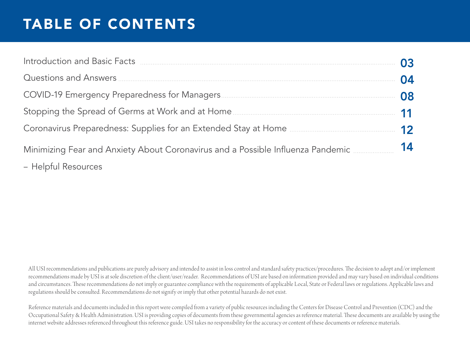## TABLE OF CONTENTS

| Introduction and Basic Facts <b>Exces Exces Exces Exces Exces EXC <b>EXCES EXCES EXCES EXCES EXCES EXCESS</b></b>                                           |    |
|-------------------------------------------------------------------------------------------------------------------------------------------------------------|----|
|                                                                                                                                                             | 04 |
|                                                                                                                                                             | 08 |
|                                                                                                                                                             |    |
| Coronavirus Preparedness: Supplies for an Extended Stay at Home <b>Manual</b> Coronavirus Preparedness: Supplies for an Extended Stay at Home <b>Manual</b> | 12 |
| Minimizing Fear and Anxiety About Coronavirus and a Possible Influenza Pandemic                                                                             | 14 |
| - Helpful Resources                                                                                                                                         |    |

All USI recommendations and publications are purely advisory and intended to assist in loss control and standard safety practices/procedures. The decision to adopt and/or implement recommendations made by USI is at sole discretion of the client/user/reader. Recommendations of USI are based on information provided and may vary based on individual conditions and circumstances. These recommendations do not imply or guarantee compliance with the requirements of applicable Local, State or Federal laws or regulations. Applicable laws and regulations should be consulted. Recommendations do not signify or imply that other potential hazards do not exist.

Reference materials and documents included in this report were compiled from a variety of public resources including the Centers for Disease Control and Prevention (CDC) and the Occupational Safety & Health Administration. USI is providing copies of documents from these governmental agencies as reference material. These documents are available by using the internet website addresses referenced throughout this reference guide. USI takes no responsibility for the accuracy or content of these documents or reference materials.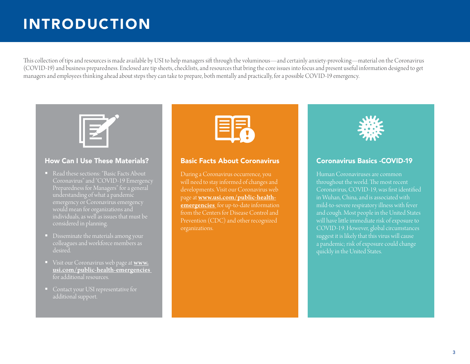## INTRODUCTION

This collection of tips and resources is made available by USI to help managers sift through the voluminous—and certainly anxiety-provoking—material on the Coronavirus (COVID-19) and business preparedness. Enclosed are tip sheets, checklists, and resources that bring the core issues into focus and present useful information designed to get managers and employees thinking ahead about steps they can take to prepare, both mentally and practically, for a possible COVID-19 emergency.



### How Can I Use These Materials?

- Read these sections: "Basic Facts About Coronavirus" and "COVID-19 Emergency Preparedness for Managers" for a general understanding of what a pandemic emergency or Coronavirus emergency would mean for organizations and individuals, as well as issues that must be considered in planning.
- Disseminate the materials among your colleagues and workforce members as desired.
- Visit our Coronavirus web page at [www.](https://www.usi.com/public-health-emergencies/) [usi.com/public-health-emergencies](https://www.usi.com/public-health-emergencies/)  for additional resources.
- additional support.



#### Basic Facts About Coronavirus

During a Coronavirus occurrence, you will need to stay informed of changes and page at [www.usi.com/public-health](https://www.usi.com/public-health-emergencies/)[emergencies](https://www.usi.com/public-health-emergencies/) for up-to-date information from the Centers for Disease Control and Prevention (CDC) and other recognized organizations.



#### Coronavirus Basics -COVID-19

Human Coronaviruses are common throughout the world. The most recent Coronavirus, COVID-19, was first identified in Wuhan, China, and is associated with and cough. Most people in the United States COVID-19. However, global circumstances suggest it is likely that this virus will cause a pandemic; risk of exposure could change quickly in the United States.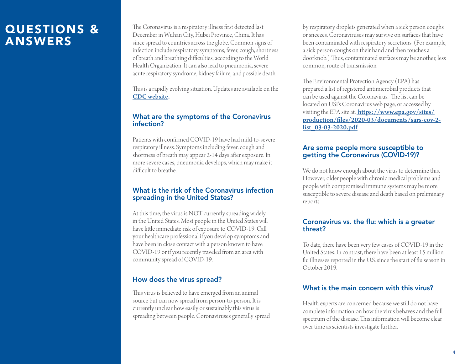The Coronavirus is a respiratory illness first detected last December in Wuhan City, Hubei Province, China. It has since spread to countries across the globe. Common signs of infection include respiratory symptoms, fever, cough, shortness of breath and breathing difficulties, according to the World Health Organization. It can also lead to pneumonia, severe acute respiratory syndrome, kidney failure, and possible death.

This is a rapidly evolving situation. Updates are available on the [CDC website](https://www.cdc.gov/coronavirus/2019-ncov/about/index.html?CDC_AA_refVal=https%3A%2F%2Fwww.cdc.gov%2Fcoronavirus%2Fabout%2Findex.html).

### What are the symptoms of the Coronavirus infection?

Patients with confirmed COVID-19 have had mild-to-severe respiratory illness. Symptoms including fever, cough and shortness of breath may appear 2-14 days after exposure. In more severe cases, pneumonia develops, which may make it difficult to breathe.

### What is the risk of the Coronavirus infection spreading in the United States?

At this time, the virus is NOT currently spreading widely in the United States. Most people in the United States will have little immediate risk of exposure to COVID-19. Call your healthcare professional if you develop symptoms and have been in close contact with a person known to have COVID-19 or if you recently traveled from an area with community spread of COVID-19.

### How does the virus spread?

This virus is believed to have emerged from an animal source but can now spread from person-to-person. It is currently unclear how easily or sustainably this virus is spreading between people. Coronaviruses generally spread by respiratory droplets generated when a sick person coughs or sneezes. Coronaviruses may survive on surfaces that have been contaminated with respiratory secretions. (For example, a sick person coughs on their hand and then touches a doorknob.) Thus, contaminated surfaces may be another, less common, route of transmission.

The Environmental Protection Agency (EPA) has prepared a list of registered antimicrobial products that can be used against the Coronavirus. The list can be located on USI's Coronavirus web page, or accessed by visiting the EPA site at: [https://www.epa.gov/sites/](https://www.epa.gov/sites/production/files/2020-03/documents/sars-cov-2-list_03-03-2020.pdf) [production/files/2020-03/documents/sars-cov-2](https://www.epa.gov/sites/production/files/2020-03/documents/sars-cov-2-list_03-03-2020.pdf) list 03-03-2020.pdf

### Are some people more susceptible to getting the Coronavirus (COVID-19)?

We do not know enough about the virus to determine this. However, older people with chronic medical problems and people with compromised immune systems may be more susceptible to severe disease and death based on preliminary reports.

### Coronavirus vs. the flu: which is a greater threat?

To date, there have been very few cases of COVID-19 in the United States. In contrast, there have been at least 15 million flu illnesses reported in the U.S. since the start of flu season in October 2019.

### What is the main concern with this virus?

Health experts are concerned because we still do not have complete information on how the virus behaves and the full spectrum of the disease. This information will become clear over time as scientists investigate further.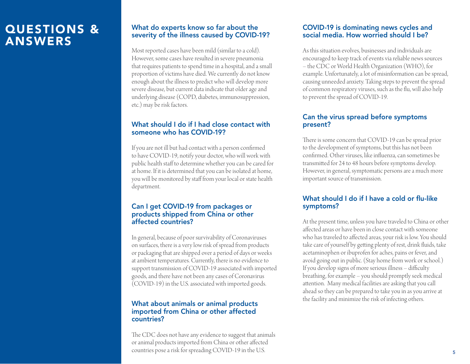### What do experts know so far about the severity of the illness caused by COVID-19?

Most reported cases have been mild (similar to a cold). However, some cases have resulted in severe pneumonia that requires patients to spend time in a hospital, and a small proportion of victims have died. We currently do not know enough about the illness to predict who will develop more severe disease, but current data indicate that older age and underlying disease (COPD, diabetes, immunosuppression, etc.) may be risk factors.

### What should I do if I had close contact with someone who has COVID-19?

If you are not ill but had contact with a person confirmed to have COVID-19, notify your doctor, who will work with public health staff to determine whether you can be cared for at home. If it is determined that you can be isolated at home, you will be monitored by staff from your local or state health department.

### Can I get COVID-19 from packages or products shipped from China or other affected countries?

In general, because of poor survivability of Coronaviruses on surfaces, there is a very low risk of spread from products or packaging that are shipped over a period of days or weeks at ambient temperatures. Currently, there is no evidence to support transmission of COVID-19 associated with imported goods, and there have not been any cases of Coronavirus (COVID-19) in the U.S. associated with imported goods.

#### What about animals or animal products imported from China or other affected countries?

The CDC does not have any evidence to suggest that animals or animal products imported from China or other affected countries pose a risk for spreading COVID-19 in the U.S.

### COVID-19 is dominating news cycles and social media. How worried should I be?

As this situation evolves, businesses and individuals are encouraged to keep track of events via reliable news sources – the CDC or World Health Organization (WHO), for example. Unfortunately, a lot of misinformation can be spread, causing unneeded anxiety. Taking steps to prevent the spread of common respiratory viruses, such as the flu, will also help to prevent the spread of COVID-19.

### Can the virus spread before symptoms present?

There is some concern that COVID-19 can be spread prior to the development of symptoms, but this has not been confirmed. Other viruses, like influenza, can sometimes be transmitted for 24 to 48 hours before symptoms develop. However, in general, symptomatic persons are a much more important source of transmission.

### What should I do if I have a cold or flu-like symptoms?

At the present time, unless you have traveled to China or other affected areas or have been in close contact with someone who has traveled to affected areas, your risk is low. You should take care of yourself by getting plenty of rest, drink fluids, take acetaminophen or ibuprofen for aches, pains or fever, and avoid going out in public. (Stay home from work or school.) If you develop signs of more serious illness – difficulty breathing, for example – you should promptly seek medical attention. Many medical facilities are asking that you call ahead so they can be prepared to take you in as you arrive at the facility and minimize the risk of infecting others.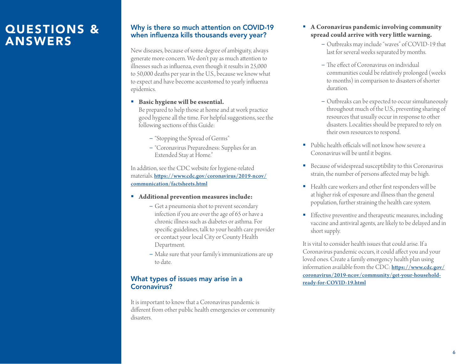### Why is there so much attention on COVID-19 when influenza kills thousands every year?

New diseases, because of some degree of ambiguity, always generate more concern. We don't pay as much attention to illnesses such as influenza, even though it results in 25,000 to 50,000 deaths per year in the U.S., because we know what to expect and have become accustomed to yearly influenza epidemics.

**Basic hygiene will be essential.** 

Be prepared to help those at home and at work practice good hygiene all the time. For helpful suggestions, see the following sections of this Guide:

- "Stopping the Spread of Germs"
- "Coronavirus Preparedness: Supplies for an Extended Stay at Home."

In addition, see the CDC website for hygiene-related materials. [https://www.cdc.gov/coronavirus/2019-ncov/](https://www.cdc.gov/coronavirus/2019-ncov/communication/factsheets.html) [communication/factsheets.html](https://www.cdc.gov/coronavirus/2019-ncov/communication/factsheets.html)

- **Additional prevention measures include:**
	- Get a pneumonia shot to prevent secondary infection if you are over the age of 65 or have a chronic illness such as diabetes or asthma. For specific guidelines, talk to your health care provider or contact your local City or County Health Department.
	- Make sure that your family's immunizations are up to date.

### What types of issues may arise in a Coronavirus?

It is important to know that a Coronavirus pandemic is different from other public health emergencies or community disasters.

- **A Coronavirus pandemic involving community spread could arrive with very little warning.** 
	- Outbreaks may include "waves" of COVID-19 that last for several weeks separated by months.
	- The effect of Coronavirus on individual communities could be relatively prolonged (weeks to months) in comparison to disasters of shorter duration.
	- Outbreaks can be expected to occur simultaneously throughout much of the U.S., preventing sharing of resources that usually occur in response to other disasters. Localities should be prepared to rely on their own resources to respond.
- Public health officials will not know how severe a Coronavirus will be until it begins.
- Because of widespread susceptibility to this Coronavirus strain, the number of persons affected may be high.
- Health care workers and other first responders will be at higher risk of exposure and illness than the general population, further straining the health care system.
- **Effective preventive and therapeutic measures, including** vaccine and antiviral agents, are likely to be delayed and in short supply.

It is vital to consider health issues that could arise. If a Coronavirus pandemic occurs, it could affect you and your loved ones. Create a family emergency health plan using information available from the CDC: [https://www.cdc.gov/](https://www.cdc.gov/coronavirus/2019-ncov/community/get-your-household-ready-for-COVID-19.html) [coronavirus/2019-ncov/community/get-your-household](https://www.cdc.gov/coronavirus/2019-ncov/community/get-your-household-ready-for-COVID-19.html)[ready-for-COVID-19.html](https://www.cdc.gov/coronavirus/2019-ncov/community/get-your-household-ready-for-COVID-19.html)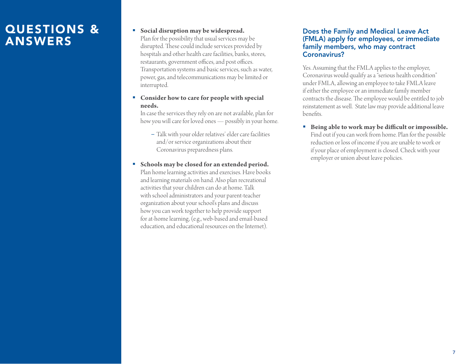#### **Social disruption may be widespread.**

Plan for the possibility that usual services may be disrupted. These could include services provided by hospitals and other health care facilities, banks, stores, restaurants, government offices, and post offices. Transportation systems and basic services, such as water, power, gas, and telecommunications may be limited or interrupted.

#### **Consider how to care for people with special needs.**

In case the services they rely on are not available, plan for how you will care for loved ones — possibly in your home.

- Talk with your older relatives' elder care facilities and/or service organizations about their Coronavirus preparedness plans.
- **Schools may be closed for an extended period.** Plan home learning activities and exercises. Have books and learning materials on hand. Also plan recreational activities that your children can do at home. Talk with school administrators and your parent-teacher organization about your school's plans and discuss how you can work together to help provide support for at-home learning, (e.g., web-based and email-based education, and educational resources on the Internet).

#### Does the Family and Medical Leave Act (FMLA) apply for employees, or immediate family members, who may contract Coronavirus?

Yes. Assuming that the FMLA applies to the employer, Coronavirus would qualify as a "serious health condition" under FMLA, allowing an employee to take FMLA leave if either the employee or an immediate family member contracts the disease. The employee would be entitled to job reinstatement as well. State law may provide additional leave benefits.

 **Being able to work may be difficult or impossible.** Find out if you can work from home. Plan for the possible reduction or loss of income if you are unable to work or if your place of employment is closed. Check with your employer or union about leave policies.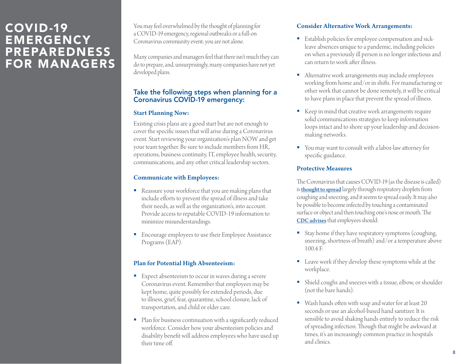### COVID-19 EMERGENCY PREPAREDNESS FOR MANAGERS

You may feel overwhelmed by the thought of planning for a COVID-19 emergency, regional outbreaks or a full-on Coronavirus community event; you are not alone.

Many companies and managers feel that there isn't much they can do to prepare, and, unsurprisingly, many companies have not yet developed plans.

### Take the following steps when planning for a Coronavirus COVID-19 emergency:

### Start Planning Now:

Existing crisis plans are a good start but are not enough to cover the specific issues that will arise during a Coronavirus event. Start reviewing your organization's plan NOW and get your team together. Be sure to include members from HR, operations, business continuity, IT, employee health, security, communications, and any other critical leadership sectors.

### Communicate with Employees:

- Reassure your workforce that you are making plans that include efforts to prevent the spread of illness and take their needs, as well as the organization's, into account. Provide access to reputable COVID-19 information to minimize misunderstandings.
- **Encourage employees to use their Employee Assistance** Programs (EAP).

### Plan for Potential High Absenteeism:

- Expect absenteeism to occur in waves during a severe Coronavirus event. Remember that employees may be kept home, quite possibly for extended periods, due to illness, grief, fear, quarantine, school closure, lack of transportation, and child or elder care.
- Plan for business continuation with a significantly reduced workforce. Consider how your absenteeism policies and disability benefit will address employees who have used up their time off.

### Consider Alternative Work Arrangements:

- **Establish policies for employee compensation and sick**leave absences unique to a pandemic, including policies on when a previously ill person is no longer infectious and can return to work after illness.
- Alternative work arrangements may include employees working from home and/or in shifts. For manufacturing or other work that cannot be done remotely, it will be critical to have plans in place that prevent the spread of illness.
- Keep in mind that creative work arrangements require solid communications strategies to keep information loops intact and to shore up your leadership and decisionmaking networks.
- You may want to consult with a labor-law attorney for specific guidance.

### Protective Measures

The Coronavirus that causes COVID-19 (as the disease is called) is **[thought to spread](https://www.cdc.gov/coronavirus/2019-ncov/about/transmission.html)** largely through respiratory droplets from coughing and sneezing, and it seems to spread easily. It may also be possible to become infected by touching a contaminated surface or object and then touching one's nose or mouth. The [CDC advises](https://www.cdc.gov/coronavirus/2019-ncov/specific-groups/guidance-business-response.html?CDC_AA_refVal=https%3A%2F%2Fwww.cdc.gov%2Fcoronavirus%2F2019-ncov%2Fguidance-business-response.html) that employees should:

- Stay home if they have respiratory symptoms (coughing, sneezing, shortness of breath) and/or a temperature above 100.4 F.
- Leave work if they develop these symptoms while at the workplace.
- Shield coughs and sneezes with a tissue, elbow, or shoulder (not the bare hands).
- Wash hands often with soap and water for at least 20 seconds or use an alcohol-based hand sanitizer. It is sensible to avoid shaking hands entirely to reduce the risk of spreading infection. Though that might be awkward at times, it's an increasingly common practice in hospitals and clinics.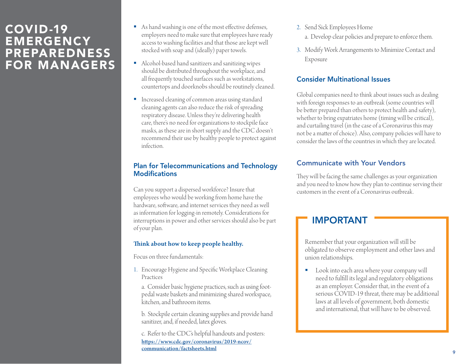### COVID-19 EMERGENCY PREPAREDNESS FOR MANAGERS

- As hand washing is one of the most effective defenses, employers need to make sure that employees have ready access to washing facilities and that those are kept well stocked with soap and (ideally) paper towels.
- Alcohol-based hand sanitizers and sanitizing wipes should be distributed throughout the workplace, and all frequently touched surfaces such as workstations, countertops and doorknobs should be routinely cleaned.
- **Increased cleaning of common areas using standard** cleaning agents can also reduce the risk of spreading respiratory disease. Unless they're delivering health care, there's no need for organizations to stockpile face masks, as these are in short supply and the CDC doesn't recommend their use by healthy people to protect against infection.

### Plan for Telecommunications and Technology Modifications

Can you support a dispersed workforce? Insure that employees who would be working from home have the hardware, software, and internet services they need as well as information for logging-in remotely. Considerations for interruptions in power and other services should also be part of your plan.

#### Think about how to keep people healthy.

Focus on three fundamentals:

1. Encourage Hygiene and Specific Workplace Cleaning Practices

a. Consider basic hygiene practices, such as using footpedal waste baskets and minimizing shared workspace, kitchen, and bathroom items.

b. Stockpile certain cleaning supplies and provide hand sanitizer, and, if needed, latex gloves.

c. Refer to the CDC's helpful handouts and posters: [https://www.cdc.gov/coronavirus/2019-ncov/](https://www.cdc.gov/coronavirus/2019-ncov/communication/factsheets.html) communication/factsheets.html

- 2. Send Sick Employees Home
	- a. Develop clear policies and prepare to enforce them.
- 3. Modify Work Arrangements to Minimize Contact and Exposure

### Consider Multinational Issues

Global companies need to think about issues such as dealing with foreign responses to an outbreak (some countries will be better prepared than others to protect health and safety), whether to bring expatriates home (timing will be critical), and curtailing travel (in the case of a Coronavirus this may not be a matter of choice). Also, company policies will have to consider the laws of the countries in which they are located.

### Communicate with Your Vendors

They will be facing the same challenges as your organization and you need to know how they plan to continue serving their customers in the event of a Coronavirus outbreak.

### IMPORTANT

Remember that your organization will still be obligated to observe employment and other laws and union relationships.

**Look** into each area where your company will need to fulfill its legal and regulatory obligations as an employer. Consider that, in the event of a serious COVID-19 threat, there may be additional laws at all levels of government, both domestic and international, that will have to be observed.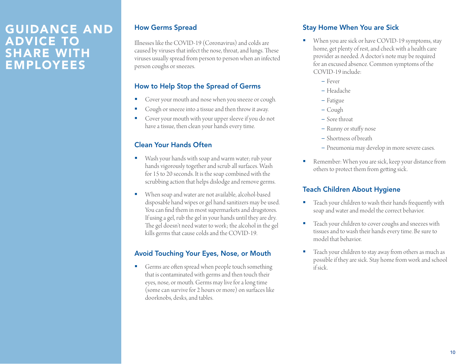### GUIDANCE AND ADVICE TO SHARE WITH EMPLOYEES

### How Germs Spread

Illnesses like the COVID-19 (Coronavirus) and colds are caused by viruses that infect the nose, throat, and lungs. These viruses usually spread from person to person when an infected person coughs or sneezes.

### How to Help Stop the Spread of Germs

- **Cover your mouth and nose when you sneeze or cough.**
- Cough or sneeze into a tissue and then throw it away.
- **Cover your mouth with your upper sleeve if you do not** have a tissue, then clean your hands every time.

### Clean Your Hands Often

- Wash your hands with soap and warm water; rub your hands vigorously together and scrub all surfaces. Wash for 15 to 20 seconds. It is the soap combined with the scrubbing action that helps dislodge and remove germs.
- When soap and water are not available, alcohol-based disposable hand wipes or gel hand sanitizers may be used. You can find them in most supermarkets and drugstores. If using a gel, rub the gel in your hands until they are dry. The gel doesn't need water to work; the alcohol in the gel kills germs that cause colds and the COVID-19.

### Avoid Touching Your Eyes, Nose, or Mouth

Germs are often spread when people touch something that is contaminated with germs and then touch their eyes, nose, or mouth. Germs may live for a long time (some can survive for 2 hours or more) on surfaces like doorknobs, desks, and tables.

### Stay Home When You are Sick

- When you are sick or have COVID-19 symptoms, stay home, get plenty of rest, and check with a health care provider as needed. A doctor's note may be required for an excused absence. Common symptoms of the COVID-19 include:
	- Fever
	- Headache
	- Fatigue
	- Cough
	- Sore throat
	- Runny or stuffy nose
	- Shortness of breath
	- Pneumonia may develop in more severe cases.
- Remember: When you are sick, keep your distance from others to protect them from getting sick.

### Teach Children About Hygiene

- **Teach your children to wash their hands frequently with** soap and water and model the correct behavior.
- Teach your children to cover coughs and sneezes with tissues and to wash their hands every time. Be sure to model that behavior.
- **Teach your children to stay away from others as much as** possible if they are sick. Stay home from work and school if sick.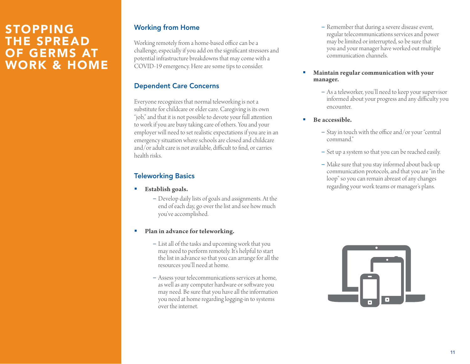### STOPPING THE SPREAD OF GERMS AT WORK & HOME

### Working from Home

Working remotely from a home-based office can be a challenge, especially if you add on the significant stressors and potential infrastructure breakdowns that may come with a COVID-19 emergency. Here are some tips to consider.

### Dependent Care Concerns

Everyone recognizes that normal teleworking is not a substitute for childcare or elder care. Caregiving is its own "job," and that it is not possible to devote your full attention to work if you are busy taking care of others. You and your employer will need to set realistic expectations if you are in an emergency situation where schools are closed and childcare and/or adult care is not available, difficult to find, or carries health risks.

### Teleworking Basics

- **Establish goals.** 
	- Develop daily lists of goals and assignments. At the end of each day, go over the list and see how much you've accomplished.
- **Plan in advance for teleworking.** 
	- List all of the tasks and upcoming work that you may need to perform remotely. It's helpful to start the list in advance so that you can arrange for all the resources you'll need at home.
	- Assess your telecommunications services at home, as well as any computer hardware or software you may need. Be sure that you have all the information you need at home regarding logging-in to systems over the internet.
- Remember that during a severe disease event, regular telecommunications services and power may be limited or interrupted, so be sure that you and your manager have worked out multiple communication channels.
- **Maintain regular communication with your manager.** 
	- As a teleworker, you'll need to keep your supervisor informed about your progress and any difficulty you encounter.
- **Be accessible.** 
	- Stay in touch with the office and/or your "central command."
	- Set up a system so that you can be reached easily.
	- Make sure that you stay informed about back-up communication protocols, and that you are "in the loop" so you can remain abreast of any changes regarding your work teams or manager's plans.

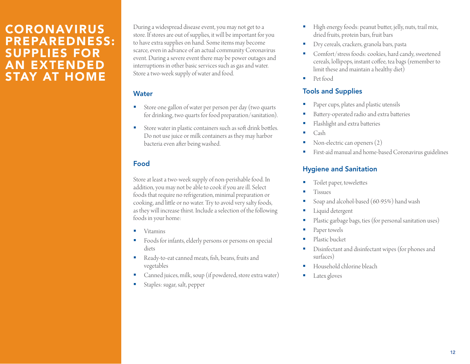### CORONAVIRUS PREPAREDNESS: SUPPLIES FOR AN EXTENDED STAY AT HOME

During a widespread disease event, you may not get to a store. If stores are out of supplies, it will be important for you to have extra supplies on hand. Some items may become scarce, even in advance of an actual community Coronavirus event. During a severe event there may be power outages and interruptions in other basic services such as gas and water. Store a two-week supply of water and food.

### **Water**

- Store one gallon of water per person per day (two quarts for drinking, two quarts for food preparation/sanitation).
- Store water in plastic containers such as soft drink bottles. Do not use juice or milk containers as they may harbor bacteria even after being washed.

### Food

Store at least a two-week supply of non-perishable food. In addition, you may not be able to cook if you are ill. Select foods that require no refrigeration, minimal preparation or cooking, and little or no water. Try to avoid very salty foods, as they will increase thirst. Include a selection of the following foods in your home:

- Vitamins
- **Foods for infants, elderly persons or persons on special** diets
- Ready-to-eat canned meats, fish, beans, fruits and vegetables
- Canned juices, milk, soup (if powdered, store extra water)
- Staples: sugar, salt, pepper
- High energy foods: peanut butter, jelly, nuts, trail mix, dried fruits, protein bars, fruit bars
- Dry cereals, crackers, granola bars, pasta
- Comfort/stress foods: cookies, hard candy, sweetened cereals, lollipops, instant coffee, tea bags (remember to limit these and maintain a healthy diet)
- Pet food

### Tools and Supplies

- Paper cups, plates and plastic utensils
- Battery-operated radio and extra batteries
- Flashlight and extra batteries
- Cash
- Non-electric can openers (2)
- First-aid manual and home-based Coronavirus guidelines

### Hygiene and Sanitation

- Toilet paper, towelettes
- Tissues
- Soap and alcohol-based (60-95%) hand wash
- Liquid detergent
- Plastic garbage bags, ties (for personal sanitation uses)
- Paper towels
- Plastic bucket
- Disinfectant and disinfectant wipes (for phones and surfaces)
- Household chlorine bleach
- Latex gloves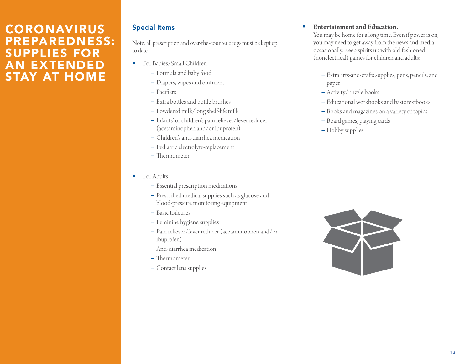### CORONAVIRUS PREPAREDNESS: SUPPLIES FOR AN EXTENDED STAY AT HOME

### Special Items

Note: all prescription and over-the-counter drugs must be kept up to date.

- For Babies/Small Children
	- Formula and baby food
	- Diapers, wipes and ointment
	- Pacifiers
	- Extra bottles and bottle brushes
	- Powdered milk/long shelf-life milk
	- Infants' or children's pain reliever/fever reducer (acetaminophen and/or ibuprofen)
	- Children's anti-diarrhea medication
	- Pediatric electrolyte-replacement
	- Thermometer
- For Adults
	- Essential prescription medications
	- Prescribed medical supplies such as glucose and blood-pressure monitoring equipment
	- Basic toiletries
	- Feminine hygiene supplies
	- Pain reliever/fever reducer (acetaminophen and/or ibuprofen)
	- Anti-diarrhea medication
	- Thermometer
	- Contact lens supplies

### **Entertainment and Education.**

You may be home for a long time. Even if power is on, you may need to get away from the news and media occasionally. Keep spirits up with old-fashioned (nonelectrical) games for children and adults:

- Extra arts-and-crafts supplies, pens, pencils, and paper
- Activity/puzzle books
- Educational workbooks and basic textbooks
- Books and magazines on a variety of topics
- Board games, playing cards
- Hobby supplies